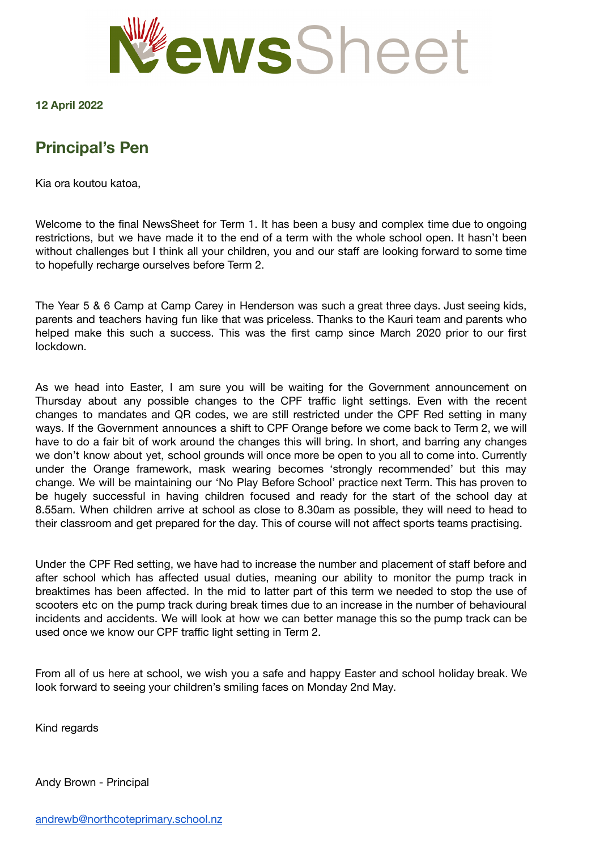

**12 April 2022**

## **Principal's Pen**

Kia ora koutou katoa,

Welcome to the final NewsSheet for Term 1. It has been a busy and complex time due to ongoing restrictions, but we have made it to the end of a term with the whole school open. It hasn't been without challenges but I think all your children, you and our staff are looking forward to some time to hopefully recharge ourselves before Term 2.

The Year 5 & 6 Camp at Camp Carey in Henderson was such a great three days. Just seeing kids, parents and teachers having fun like that was priceless. Thanks to the Kauri team and parents who helped make this such a success. This was the first camp since March 2020 prior to our first lockdown.

As we head into Easter, I am sure you will be waiting for the Government announcement on Thursday about any possible changes to the CPF traffic light settings. Even with the recent changes to mandates and QR codes, we are still restricted under the CPF Red setting in many ways. If the Government announces a shift to CPF Orange before we come back to Term 2, we will have to do a fair bit of work around the changes this will bring. In short, and barring any changes we don't know about yet, school grounds will once more be open to you all to come into. Currently under the Orange framework, mask wearing becomes 'strongly recommended' but this may change. We will be maintaining our 'No Play Before School' practice next Term. This has proven to be hugely successful in having children focused and ready for the start of the school day at 8.55am. When children arrive at school as close to 8.30am as possible, they will need to head to their classroom and get prepared for the day. This of course will not affect sports teams practising.

Under the CPF Red setting, we have had to increase the number and placement of staff before and after school which has affected usual duties, meaning our ability to monitor the pump track in breaktimes has been affected. In the mid to latter part of this term we needed to stop the use of scooters etc on the pump track during break times due to an increase in the number of behavioural incidents and accidents. We will look at how we can better manage this so the pump track can be used once we know our CPF traffic light setting in Term 2.

From all of us here at school, we wish you a safe and happy Easter and school holiday break. We look forward to seeing your children's smiling faces on Monday 2nd May.

Kind regards

Andy Brown - Principal